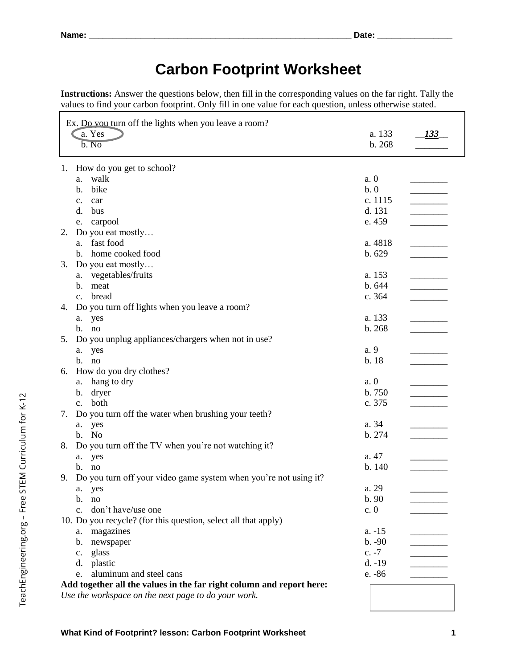TeachEngineering.org - Free STEM Curriculum for K-12 TeachEngineering.org – Free STEM Curriculum for K-12

## **Carbon Footprint Worksheet**

**Instructions:** Answer the questions below, then fill in the corresponding values on the far right. Tally the values to find your carbon footprint. Only fill in one value for each question, unless otherwise stated.

| Ex. Do you turn off the lights when you leave a room?                  |          |              |
|------------------------------------------------------------------------|----------|--------------|
| a. Yes                                                                 | a. 133   | <u>133 _</u> |
| b. No                                                                  | b. 268   |              |
|                                                                        |          |              |
| 1. How do you get to school?                                           |          |              |
| walk<br>a.                                                             | a.0      |              |
| bike<br>b.                                                             | b.0      |              |
| $\mathbf{c}$ .<br>car                                                  | c. 1115  |              |
| d.<br>bus                                                              | d. 131   |              |
| carpool<br>e.                                                          | e. 459   |              |
| Do you eat mostly<br>2.                                                |          |              |
| fast food<br>a.                                                        | a. 4818  |              |
| home cooked food<br>b.                                                 | b. 629   |              |
| Do you eat mostly<br>3.                                                |          |              |
| a. vegetables/fruits                                                   | a. 153   |              |
| meat<br>b.                                                             | b. 644   |              |
| bread<br>$\mathbf{c}$ .                                                | c. 364   |              |
| Do you turn off lights when you leave a room?<br>4.                    |          |              |
| yes<br>a.                                                              | a. 133   |              |
| b. no                                                                  | b. 268   |              |
| Do you unplug appliances/chargers when not in use?<br>5.               |          |              |
| yes<br>a.                                                              | a. 9     |              |
| b. no                                                                  | b. 18    |              |
| How do you dry clothes?<br>6.                                          |          |              |
| hang to dry<br>a.                                                      | a.0      |              |
| dryer<br>b.                                                            | b. 750   |              |
| both<br>$\mathbf{c}$ .                                                 | c. 375   |              |
| Do you turn off the water when brushing your teeth?<br>7.              |          |              |
| yes<br>a.                                                              | a. 34    |              |
| b. No                                                                  | b. 274   |              |
| Do you turn off the TV when you're not watching it?<br>8.              |          |              |
| a. yes                                                                 | a. 47    |              |
| b. no                                                                  | b. 140   |              |
| Do you turn off your video game system when you're not using it?<br>9. |          |              |
| yes<br>a.                                                              | a. 29    |              |
| b.<br>no                                                               | b.90     |              |
| don't have/use one<br>$\mathbf{c}$ .                                   | c.0      |              |
| 10. Do you recycle? (for this question, select all that apply)         |          |              |
| magazines<br>a.                                                        | $a. -15$ |              |
| newspaper<br>b.                                                        | $b. -90$ |              |
| glass<br>$\mathbf{c}$ .                                                | $c. -7$  |              |
| plastic<br>d.                                                          | $d. -19$ |              |
| aluminum and steel cans<br>e.                                          | e. -86   |              |
| Add together all the values in the far right column and report here:   |          |              |
| Use the workspace on the next page to do your work.                    |          |              |
|                                                                        |          |              |